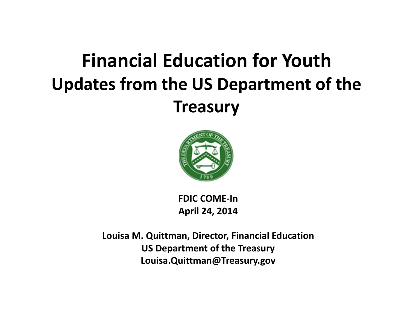#### **Financial Education for Youth Updates from the US Department of the Treasury**



**FDIC COME‐InApril 24, 2014**

**Louisa M. Quittman, Director, Financial Education US Department of the Treasury Louisa.Quittman@Treasury.gov**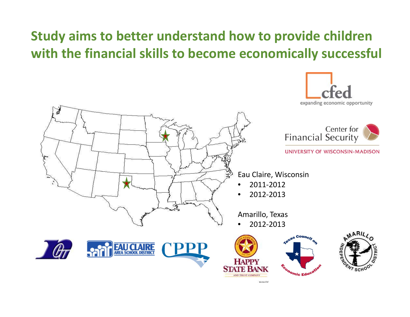#### **Study aims to better understand how to provide children with the financial skills to become economically successful**

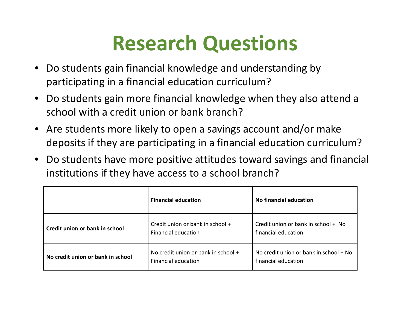## **Research Questions**

- $\bullet$  Do students gain financial knowledge and understanding by participating in <sup>a</sup> financial education curriculum?
- $\bullet$  Do students gain more financial knowledge when they also attend <sup>a</sup> school with <sup>a</sup> credit union or bank branch?
- • Are students more likely to open <sup>a</sup> savings account and/or make deposits if they are participating in <sup>a</sup> financial education curriculum?
- $\bullet$  Do students have more positive attitudes toward savings and financial institutions if they have access to <sup>a</sup> school branch?

|                                   | <b>Financial education</b>                                        | No financial education                                        |  |
|-----------------------------------|-------------------------------------------------------------------|---------------------------------------------------------------|--|
| Credit union or bank in school    | Credit union or bank in school +<br><b>Financial education</b>    | Credit union or bank in school + No<br>financial education    |  |
| No credit union or bank in school | No credit union or bank in school +<br><b>Financial education</b> | No credit union or bank in school + No<br>financial education |  |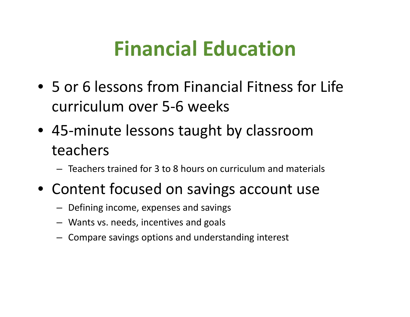### **Financial Education**

- 5 or 6 lessons from Financial Fitness for Life curriculum over 5‐6 weeks
- 45‐minute lessons taught by classroom teachers
	- Teachers trained for 3 to 8 hours on curriculum and materials
- Content focused on savings account use
	- Defining income, expenses and savings
	- Wants vs. needs, incentives and goals
	- Compare savings options and understanding interest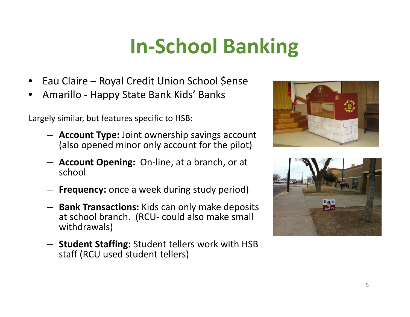# **In‐School Banking**

- •• Eau Claire – Royal Credit Union School \$ense
- •Amarillo ‐ Happy State Bank Kids' Banks

Largely similar, but features specific to HSB:

- **Account Type:** Joint ownership savings account (also opened minor only account for the pilot)
- **Account Opening:** On‐line, at <sup>a</sup> branch, or at school
- **Frequency:** once <sup>a</sup> week during study period)
- **Bank Transactions:** Kids can only make deposits at school branch. (RCU‐ could also make small withdrawals)
- **Student Staffing:** Student tellers work with HSB staff (RCU used student tellers)



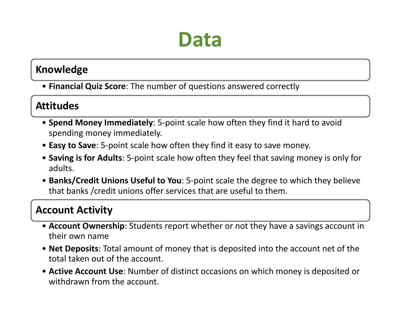#### **Data**

#### **Knowledge**

• **Financial Quiz Score**: The number of questions answered correctly

#### **Attitudes**

- **Spend Money Immediately**: 5‐point scale how often they find it hard to avoid spending money immediately.
- **Easy to Save**: 5‐point scale how often they find it easy to save money.
- **Saving is for Adults**: 5‐point scale how often they feel that saving money is only for adults.
- **Banks/Credit Unions Useful to You**: 5‐point scale the degree to which they believe that banks /credit unions offer services that are useful to them.

#### **Account Activity**

- **Account Ownership**: Students report whether or not they have <sup>a</sup> savings account in their own name
- **Net Deposits**: Total amount of money that is deposited into the account net of the total taken out of the account.
- **Active Account Use**: Number of distinct occasions on which money is deposited or withdrawn from the account.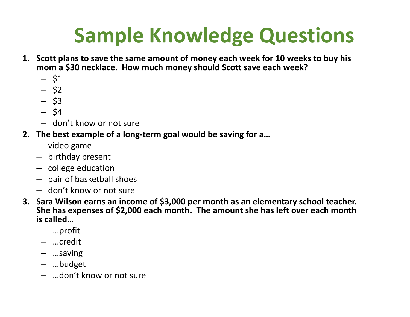## **Sample Knowledge Questions**

- **1. Scott plans to save the same amount of money each week for 10 weeks to buy his mom <sup>a</sup> \$30 necklace. How much money should Scott save each week?**
	- \$1
	- \$2
	- \$3
	- \$4
	- don't know or not sure
- **2. The best example of <sup>a</sup> long‐term goal would be saving for a…**
	- video game
	- birthday present
	- college education
	- pair of basketball shoes
	- don't know or not sure
- **3. Sara Wilson earns an income of \$3,000 per month as an elementary school teacher. She has expenses of \$2,000 each month. The amount she has left over each month is called…**
	- …profit
	- …credit
	- …saving
	- …budget
	- …don't know or not sure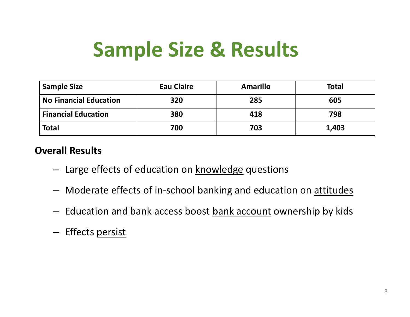### **Sample Size & Results**

| <b>Sample Size</b>            | <b>Eau Claire</b> | <b>Amarillo</b> | <b>Total</b> |
|-------------------------------|-------------------|-----------------|--------------|
| <b>No Financial Education</b> | 320               | 285             | 605          |
| <b>Financial Education</b>    | 380               | 418             | 798          |
| <b>Total</b>                  | 700               | 703             | 1,403        |

#### **Overall Results**

- Large effects of education on <u>knowledge</u> questions
- Moderate effects of in-school banking and education on <u>attitudes</u>
- $-$  Education and bank access boost <u>bank account</u> ownership by kids
- Effects persist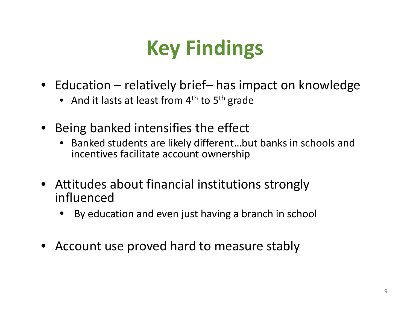# **Key Findings**

- Education relatively brief– has impact on knowledge
	- And it lasts at least from  $4^{\text{th}}$  to  $5^{\text{th}}$  grade
- Being banked intensifies the effect
	- • Banked students are likely different…but banks in schools and incentives facilitate account ownership
- Attitudes about financial institutions strongly influenced
	- •By education and even just having <sup>a</sup> branch in school
- Account use proved hard to measure stably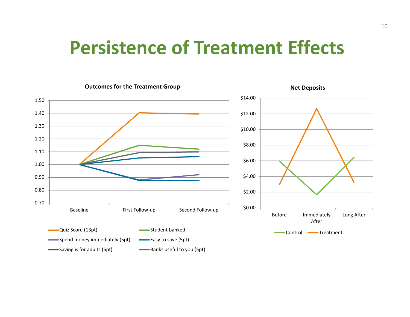#### **Persistence of Treatment Effects**

**Outcomes for the Treatment Group**



**Net Deposits**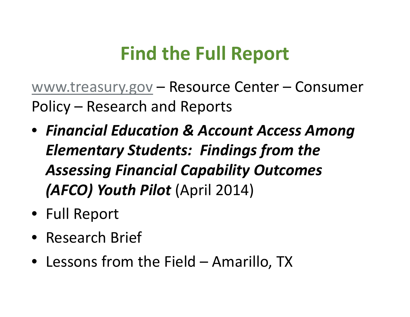#### **Find the Full Report**

www.treasury.gov – Resource Center – Consumer Policy – Research and Reports

- *Financial Education & Account Access Among Elementary Students: Findings from the Assessing Financial Capability Outcomes (AFCO) Youth Pilot* (April 2014)
- Full Report
- Research Brief
- Lessons from the Field Amarillo, TX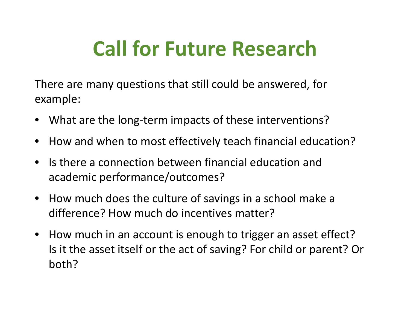## **Call for Future Research**

There are many questions that still could be answered, for example:

- $\bullet$ What are the long‐term impacts of these interventions?
- $\bullet$ How and when to most effectively teach financial education?
- $\bullet$ **•** Is there a connection between financial education and academic performance/outcomes?
- $\bullet$  How much does the culture of savings in <sup>a</sup> school make <sup>a</sup> difference? How much do incentives matter?
- $\bullet$ • How much in an account is enough to trigger an asset effect? Is it the asset itself or the act of saving? For child or parent? Or both?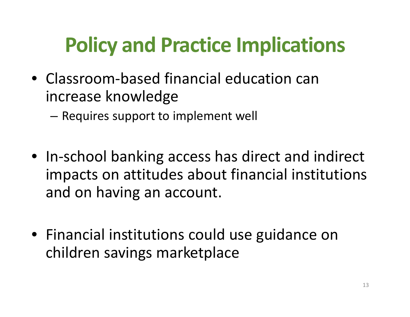## **Policy and Practice Implications**

- Classroom-based financial education can increase knowledge
	- – $-$  Requires support to implement well
- In‐school banking access has direct and indirect impacts on attitudes about financial institutions and on having an account.
- Financial institutions could use guidance on children savings marketplace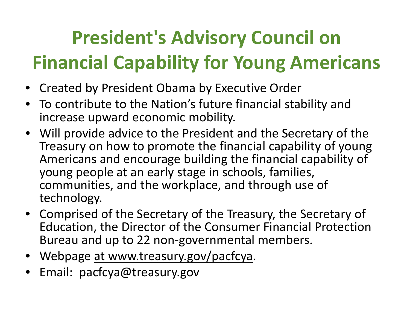## **President's Advisory Council on Financial Capability for Young Americans**

- Created by President Obama by Executive Order
- To contribute to the Nation's future financial stability and increase upward economic mobility.
- Will provide advice to the President and the Secretary of the Treasury on how to promote the financial capability of young Americans and encourage building the financial capability of young people at an early stage in schools, families, communities, and the workplace, and through use of technology.
- Comprised of the Secretary of the Treasury, the Secretary of Education, the Director of the Consumer Financial Protection Bureau and up to 22 non ‐governmental members.
- Webpage at www.treasury.gov/pacfcya.
- Email: pacfcya@treasury.gov